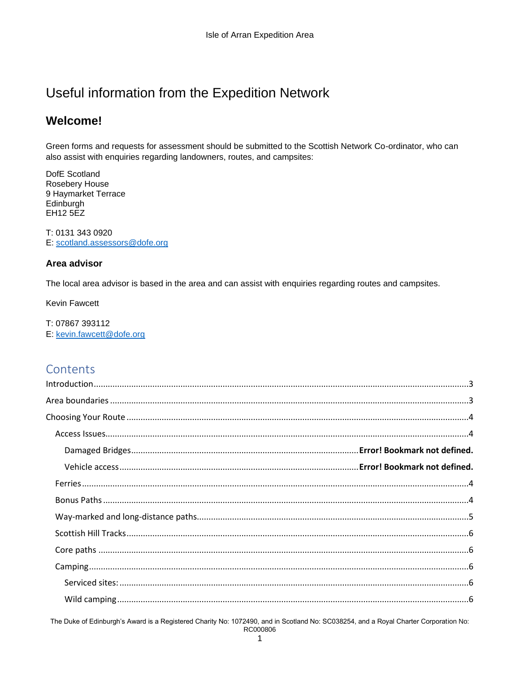# Useful information from the Expedition Network

## **Welcome!**

Green forms and requests for assessment should be submitted to the Scottish Network Co-ordinator, who can also assist with enquiries regarding landowners, routes, and campsites:

DofE Scotland **Rosebery House** 9 Haymarket Terrace Edinburgh **EH12 5EZ** 

T: 0131 343 0920 E: scotland.assessors@dofe.org

#### Area advisor

The local area advisor is based in the area and can assist with enquiries regarding routes and campsites.

**Kevin Fawcett** 

T: 07867 393112 E: kevin.fawcett@dofe.org

## Contents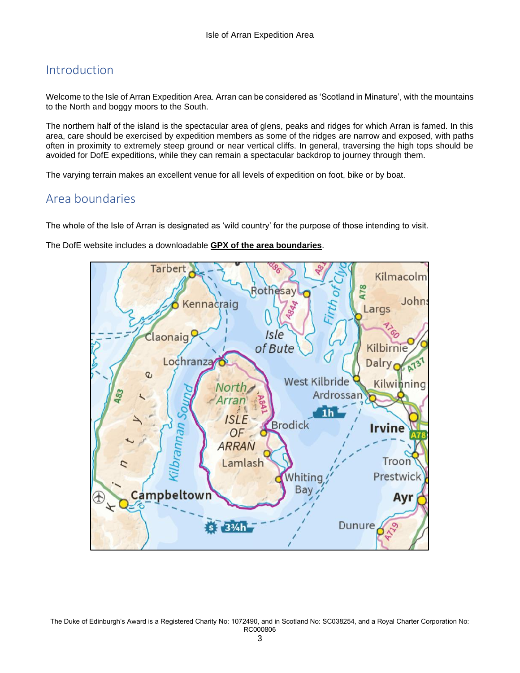## <span id="page-2-0"></span>Introduction

Welcome to the Isle of Arran Expedition Area. Arran can be considered as 'Scotland in Minature', with the mountains to the North and boggy moors to the South.

The northern half of the island is the spectacular area of glens, peaks and ridges for which Arran is famed. In this area, care should be exercised by expedition members as some of the ridges are narrow and exposed, with paths often in proximity to extremely steep ground or near vertical cliffs. In general, traversing the high tops should be avoided for DofE expeditions, while they can remain a spectacular backdrop to journey through them.

<span id="page-2-1"></span>The varying terrain makes an excellent venue for all levels of expedition on foot, bike or by boat.

## Area boundaries

The whole of the Isle of Arran is designated as 'wild country' for the purpose of those intending to visit.

The DofE website includes a downloadable **[GPX of the area boundaries](https://www.dofe.org/run/expeditionareas/isleofarran/)**.

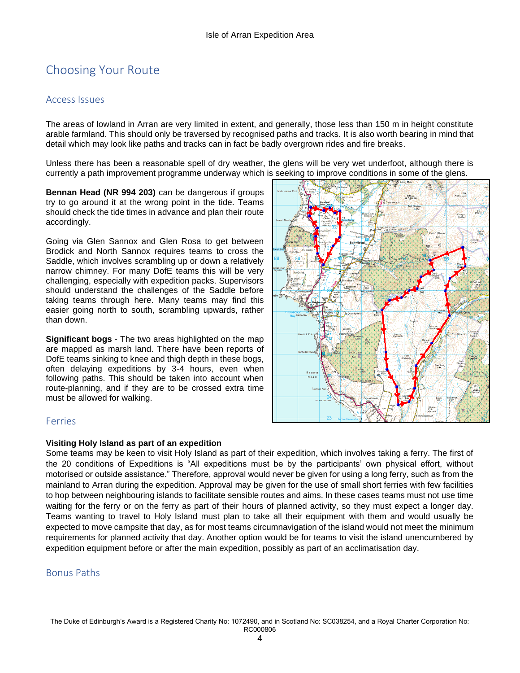# <span id="page-3-0"></span>Choosing Your Route

#### <span id="page-3-1"></span>Access Issues

The areas of lowland in Arran are very limited in extent, and generally, those less than 150 m in height constitute arable farmland. This should only be traversed by recognised paths and tracks. It is also worth bearing in mind that detail which may look like paths and tracks can in fact be badly overgrown rides and fire breaks.

Unless there has been a reasonable spell of dry weather, the glens will be very wet underfoot, although there is currently a path improvement programme underway which is seeking to improve conditions in some of the glens.

**Bennan Head (NR 994 203)** can be dangerous if groups try to go around it at the wrong point in the tide. Teams should check the tide times in advance and plan their route accordingly.

Going via Glen Sannox and Glen Rosa to get between Brodick and North Sannox requires teams to cross the Saddle, which involves scrambling up or down a relatively narrow chimney. For many DofE teams this will be very challenging, especially with expedition packs. Supervisors should understand the challenges of the Saddle before taking teams through here. Many teams may find this easier going north to south, scrambling upwards, rather than down.

**Significant bogs** - The two areas highlighted on the map are mapped as marsh land. There have been reports of DofE teams sinking to knee and thigh depth in these bogs, often delaying expeditions by 3-4 hours, even when following paths. This should be taken into account when route-planning, and if they are to be crossed extra time must be allowed for walking.



### <span id="page-3-2"></span>Ferries

#### **Visiting Holy Island as part of an expedition**

Some teams may be keen to visit Holy Island as part of their expedition, which involves taking a ferry. The first of the 20 conditions of Expeditions is "All expeditions must be by the participants' own physical effort, without motorised or outside assistance." Therefore, approval would never be given for using a long ferry, such as from the mainland to Arran during the expedition. Approval may be given for the use of small short ferries with few facilities to hop between neighbouring islands to facilitate sensible routes and aims. In these cases teams must not use time waiting for the ferry or on the ferry as part of their hours of planned activity, so they must expect a longer day. Teams wanting to travel to Holy Island must plan to take all their equipment with them and would usually be expected to move campsite that day, as for most teams circumnavigation of the island would not meet the minimum requirements for planned activity that day. Another option would be for teams to visit the island unencumbered by expedition equipment before or after the main expedition, possibly as part of an acclimatisation day.

### <span id="page-3-3"></span>Bonus Paths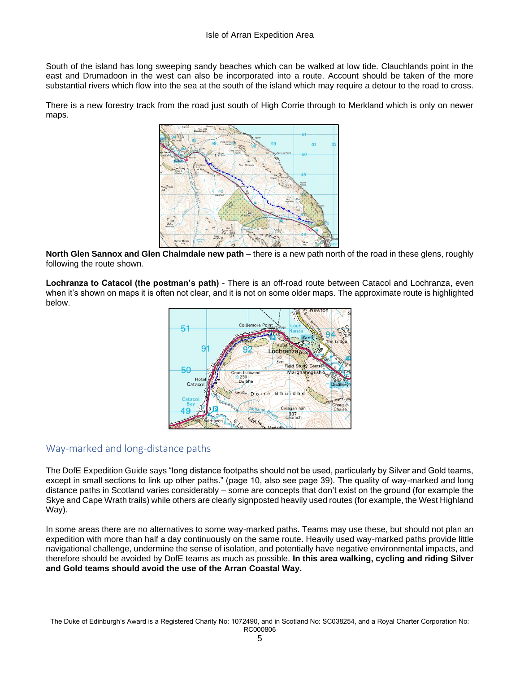South of the island has long sweeping sandy beaches which can be walked at low tide. Clauchlands point in the east and Drumadoon in the west can also be incorporated into a route. Account should be taken of the more substantial rivers which flow into the sea at the south of the island which may require a detour to the road to cross.

There is a new forestry track from the road just south of High Corrie through to Merkland which is only on newer maps.



**North Glen Sannox and Glen Chalmdale new path** – there is a new path north of the road in these glens, roughly following the route shown.

**Lochranza to Catacol (the postman's path)** - There is an off-road route between Catacol and Lochranza, even when it's shown on maps it is often not clear, and it is not on some older maps. The approximate route is highlighted below.



## <span id="page-4-0"></span>Way-marked and long-distance paths

The DofE Expedition Guide says "long distance footpaths should not be used, particularly by Silver and Gold teams, except in small sections to link up other paths." (page 10, also see page 39). The quality of way-marked and long distance paths in Scotland varies considerably – some are concepts that don't exist on the ground (for example the Skye and Cape Wrath trails) while others are clearly signposted heavily used routes (for example, the West Highland Way).

In some areas there are no alternatives to some way-marked paths. Teams may use these, but should not plan an expedition with more than half a day continuously on the same route. Heavily used way-marked paths provide little navigational challenge, undermine the sense of isolation, and potentially have negative environmental impacts, and therefore should be avoided by DofE teams as much as possible. **In this area walking, cycling and riding Silver and Gold teams should avoid the use of the Arran Coastal Way.**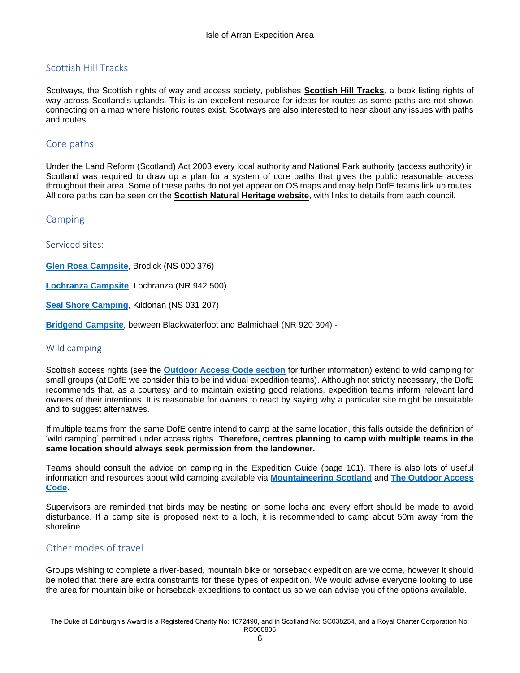## <span id="page-5-0"></span>Scottish Hill Tracks

Scotways, the Scottish rights of way and access society, publishes **[Scottish Hill Tracks](https://www.scotways.com/scottish-hill-tracks-updates)***,* a book listing rights of way across Scotland's uplands. This is an excellent resource for ideas for routes as some paths are not shown connecting on a map where historic routes exist. Scotways are also interested to hear about any issues with paths and routes.

## <span id="page-5-1"></span>Core paths

Under the Land Reform (Scotland) Act 2003 every local authority and National Park authority (access authority) in Scotland was required to draw up a plan for a system of core paths that gives the public reasonable access throughout their area. Some of these paths do not yet appear on OS maps and may help DofE teams link up routes. All core paths can be seen on the **[Scottish Natural Heritage](https://www.nature.scot/enjoying-outdoors/routes-explore/local-path-networks) website**, with links to details from each council.

## <span id="page-5-2"></span>Camping

<span id="page-5-3"></span>Serviced sites:

**[Glen Rosa Campsite](http://www.visitarran.com/where-to-stay/glen-rosa-campsite)**, Brodick (NS 000 376)

**[Lochranza Campsite](http://www.arran-campsite.com/)**, Lochranza (NR 942 500)

**[Seal Shore Camping](http://www.campingarran.com/)**, Kildonan (NS 031 207)

**[Bridgend Campsite](http://www.bridgendholidaysshiskine.co.uk/index.html)**, between Blackwaterfoot and Balmichael (NR 920 304) -

#### <span id="page-5-4"></span>Wild camping

Scottish access rights (see the **[Outdoor Access Code section](#page-9-1)** for further information) extend to wild camping for small groups (at DofE we consider this to be individual expedition teams). Although not strictly necessary, the DofE recommends that, as a courtesy and to maintain existing good relations, expedition teams inform relevant land owners of their intentions. It is reasonable for owners to react by saying why a particular site might be unsuitable and to suggest alternatives.

If multiple teams from the same DofE centre intend to camp at the same location, this falls outside the definition of 'wild camping' permitted under access rights. **Therefore, centres planning to camp with multiple teams in the same location should always seek permission from the landowner.**

Teams should consult the advice on camping in the Expedition Guide (page 101). There is also lots of useful information and resources about wild camping available via **[Mountaineering Scotland](https://www.mountaineering.scot/activities/hillwalking/camping)** and **[The Outdoor Access](https://www.outdooraccess-scotland.scot/practical-guide-all/camping)  [Code](https://www.outdooraccess-scotland.scot/practical-guide-all/camping)**.

Supervisors are reminded that birds may be nesting on some lochs and every effort should be made to avoid disturbance. If a camp site is proposed next to a loch, it is recommended to camp about 50m away from the shoreline.

## <span id="page-5-5"></span>Other modes of travel

Groups wishing to complete a river-based, mountain bike or horseback expedition are welcome, however it should be noted that there are extra constraints for these types of expedition. We would advise everyone looking to use the area for mountain bike or horseback expeditions to contact us so we can advise you of the options available.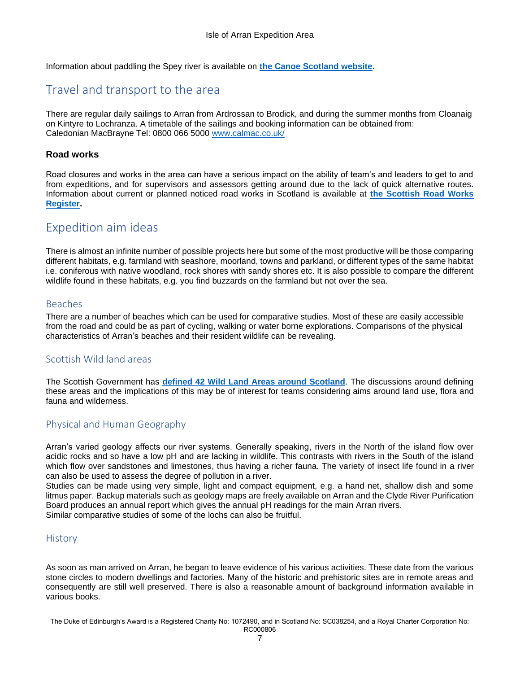<span id="page-6-0"></span>Information about paddling the Spey river is available on **[the Canoe Scotland website](https://www.canoescotland.org/go-paddling/canoe-trails-and-routes)**.

## Travel and transport to the area

There are regular daily sailings to Arran from Ardrossan to Brodick, and during the summer months from Cloanaig on Kintyre to Lochranza. A timetable of the sailings and booking information can be obtained from: Caledonian MacBrayne Tel: 0800 066 5000 [www.calmac.co.uk/](http://www.calmac.co.uk/)

#### **Road works**

Road closures and works in the area can have a serious impact on the ability of team's and leaders to get to and from expeditions, and for supervisors and assessors getting around due to the lack of quick alternative routes. Information about current or planned noticed road works in Scotland is available at **[the Scottish Road Works](https://www.roadworksscotland.org/)  [Register.](https://www.roadworksscotland.org/)**

## <span id="page-6-1"></span>Expedition aim ideas

There is almost an infinite number of possible projects here but some of the most productive will be those comparing different habitats, e.g. farmland with seashore, moorland, towns and parkland, or different types of the same habitat i.e. coniferous with native woodland, rock shores with sandy shores etc. It is also possible to compare the different wildlife found in these habitats, e.g. you find buzzards on the farmland but not over the sea.

#### <span id="page-6-2"></span>Beaches

There are a number of beaches which can be used for comparative studies. Most of these are easily accessible from the road and could be as part of cycling, walking or water borne explorations. Comparisons of the physical characteristics of Arran's beaches and their resident wildlife can be revealing.

## <span id="page-6-3"></span>Scottish Wild land areas

The Scottish Government has **[defined 42 Wild Land Areas around Scotland](https://www.nature.scot/wild-land-area-descriptions)**. The discussions around defining these areas and the implications of this may be of interest for teams considering aims around land use, flora and fauna and wilderness.

### <span id="page-6-4"></span>Physical and Human Geography

Arran's varied geology affects our river systems. Generally speaking, rivers in the North of the island flow over acidic rocks and so have a low pH and are lacking in wildlife. This contrasts with rivers in the South of the island which flow over sandstones and limestones, thus having a richer fauna. The variety of insect life found in a river can also be used to assess the degree of pollution in a river.

Studies can be made using very simple, light and compact equipment, e.g. a hand net, shallow dish and some litmus paper. Backup materials such as geology maps are freely available on Arran and the Clyde River Purification Board produces an annual report which gives the annual pH readings for the main Arran rivers. Similar comparative studies of some of the lochs can also be fruitful.

#### <span id="page-6-5"></span>**History**

As soon as man arrived on Arran, he began to leave evidence of his various activities. These date from the various stone circles to modern dwellings and factories. Many of the historic and prehistoric sites are in remote areas and consequently are still well preserved. There is also a reasonable amount of background information available in various books.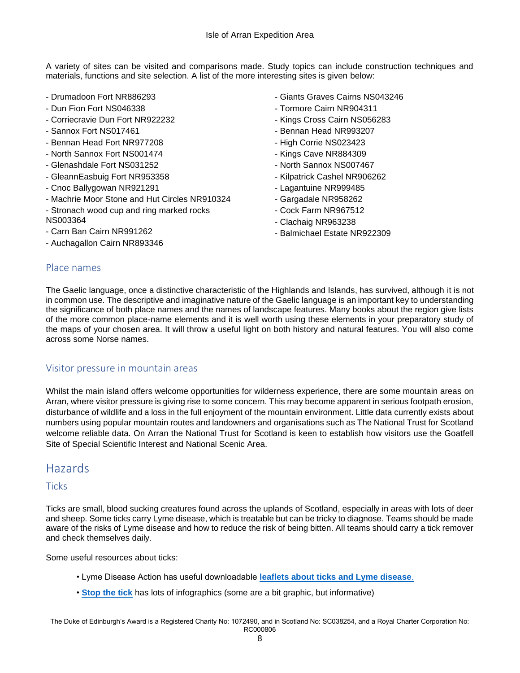A variety of sites can be visited and comparisons made. Study topics can include construction techniques and materials, functions and site selection. A list of the more interesting sites is given below:

- Drumadoon Fort NR886293
- Dun Fion Fort NS046338
- Corriecravie Dun Fort NR922232
- Sannox Fort NS017461
- Bennan Head Fort NR977208
- North Sannox Fort NS001474
- Glenashdale Fort NS031252
- GleannEasbuig Fort NR953358
- Cnoc Ballygowan NR921291
- Machrie Moor Stone and Hut Circles NR910324
- Stronach wood cup and ring marked rocks NS003364
- Carn Ban Cairn NR991262
- Auchagallon Cairn NR893346
- Giants Graves Cairns NS043246
- Tormore Cairn NR904311
- Kings Cross Cairn NS056283
- Bennan Head NR993207
- High Corrie NS023423
- Kings Cave NR884309
- North Sannox NS007467
- Kilpatrick Cashel NR906262
- Lagantuine NR999485
- Gargadale NR958262
- Cock Farm NR967512
- Clachaig NR963238
- Balmichael Estate NR922309

### <span id="page-7-0"></span>Place names

The Gaelic language, once a distinctive characteristic of the Highlands and Islands, has survived, although it is not in common use. The descriptive and imaginative nature of the Gaelic language is an important key to understanding the significance of both place names and the names of landscape features. Many books about the region give lists of the more common place-name elements and it is well worth using these elements in your preparatory study of the maps of your chosen area. It will throw a useful light on both history and natural features. You will also come across some Norse names.

#### <span id="page-7-1"></span>Visitor pressure in mountain areas

Whilst the main island offers welcome opportunities for wilderness experience, there are some mountain areas on Arran, where visitor pressure is giving rise to some concern. This may become apparent in serious footpath erosion, disturbance of wildlife and a loss in the full enjoyment of the mountain environment. Little data currently exists about numbers using popular mountain routes and landowners and organisations such as The National Trust for Scotland welcome reliable data. On Arran the National Trust for Scotland is keen to establish how visitors use the Goatfell Site of Special Scientific Interest and National Scenic Area.

## <span id="page-7-2"></span>Hazards

### <span id="page-7-3"></span>**Ticks**

Ticks are small, blood sucking creatures found across the uplands of Scotland, especially in areas with lots of deer and sheep. Some ticks carry Lyme disease, which is treatable but can be tricky to diagnose. Teams should be made aware of the risks of Lyme disease and how to reduce the risk of being bitten. All teams should carry a tick remover and check themselves daily.

Some useful resources about ticks:

- Lyme Disease Action has useful downloadable **[leaflets about ticks and Lyme disease](https://www.lymediseaseaction.org.uk/resources/to-download/)**.
- **[Stop the tick](http://stopthetick.co.uk/ticks-in-great-britain/)** has lots of infographics (some are a bit graphic, but informative)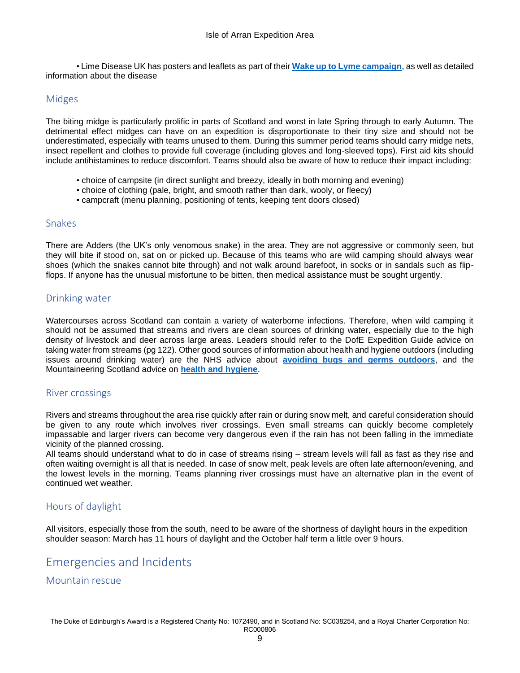• Lime Disease UK has posters and leaflets as part of their **[Wake up to Lyme campaign](https://lymediseaseuk.com/2017/05/24/download-awareness-pack/)**, as well as detailed information about the disease

## <span id="page-8-0"></span>Midges

The biting midge is particularly prolific in parts of Scotland and worst in late Spring through to early Autumn. The detrimental effect midges can have on an expedition is disproportionate to their tiny size and should not be underestimated, especially with teams unused to them. During this summer period teams should carry midge nets, insect repellent and clothes to provide full coverage (including gloves and long-sleeved tops). First aid kits should include antihistamines to reduce discomfort. Teams should also be aware of how to reduce their impact including:

- choice of campsite (in direct sunlight and breezy, ideally in both morning and evening)
- choice of clothing (pale, bright, and smooth rather than dark, wooly, or fleecy)
- campcraft (menu planning, positioning of tents, keeping tent doors closed)

#### <span id="page-8-1"></span>Snakes

There are Adders (the UK's only venomous snake) in the area. They are not aggressive or commonly seen, but they will bite if stood on, sat on or picked up. Because of this teams who are wild camping should always wear shoes (which the snakes cannot bite through) and not walk around barefoot, in socks or in sandals such as flipflops. If anyone has the unusual misfortune to be bitten, then medical assistance must be sought urgently.

### <span id="page-8-2"></span>Drinking water

Watercourses across Scotland can contain a variety of waterborne infections. Therefore, when wild camping it should not be assumed that streams and rivers are clean sources of drinking water, especially due to the high density of livestock and deer across large areas. Leaders should refer to the DofE Expedition Guide advice on taking water from streams (pg 122). Other good sources of information about health and hygiene outdoors (including issues around drinking water) are the NHS advice about **[avoiding bugs and germs outdoors](https://www.nhsinform.scot/healthy-living/outdoor-health/bugs-and-germs/avoiding-bugs-and-germs-outdoors)**, and the Mountaineering Scotland advice on **[health and hygiene](https://www.mountaineering.scot/safety-and-skills/health-and-hygiene)**.

### <span id="page-8-3"></span>River crossings

Rivers and streams throughout the area rise quickly after rain or during snow melt, and careful consideration should be given to any route which involves river crossings. Even small streams can quickly become completely impassable and larger rivers can become very dangerous even if the rain has not been falling in the immediate vicinity of the planned crossing.

All teams should understand what to do in case of streams rising – stream levels will fall as fast as they rise and often waiting overnight is all that is needed. In case of snow melt, peak levels are often late afternoon/evening, and the lowest levels in the morning. Teams planning river crossings must have an alternative plan in the event of continued wet weather.

### <span id="page-8-4"></span>Hours of daylight

All visitors, especially those from the south, need to be aware of the shortness of daylight hours in the expedition shoulder season: March has 11 hours of daylight and the October half term a little over 9 hours.

## <span id="page-8-5"></span>Emergencies and Incidents

<span id="page-8-6"></span>Mountain rescue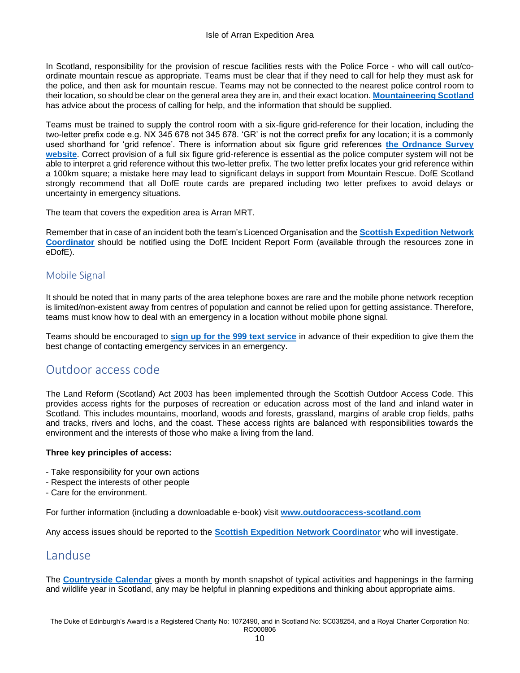In Scotland, responsibility for the provision of rescue facilities rests with the Police Force - who will call out/coordinate mountain rescue as appropriate. Teams must be clear that if they need to call for help they must ask for the police, and then ask for mountain rescue. Teams may not be connected to the nearest police control room to their location, so should be clear on the general area they are in, and their exact location. **[Mountaineering Scotland](https://www.mountaineering.scot/safety-and-skills/essential-skills/mountain-rescue/calling-for-help)** has advice about the process of calling for help, and the information that should be supplied.

Teams must be trained to supply the control room with a six-figure grid-reference for their location, including the two-letter prefix code e.g. NX 345 678 not 345 678. 'GR' is not the correct prefix for any location; it is a commonly used shorthand for 'grid refence'. There is information about six figure grid references **[the Ordnance Survey](https://getoutside.ordnancesurvey.co.uk/guides/beginners-guide-to-grid-references/)  [website](https://getoutside.ordnancesurvey.co.uk/guides/beginners-guide-to-grid-references/)**. Correct provision of a full six figure grid-reference is essential as the police computer system will not be able to interpret a grid reference without this two-letter prefix. The two letter prefix locates your grid reference within a 100km square; a mistake here may lead to significant delays in support from Mountain Rescue. DofE Scotland strongly recommend that all DofE route cards are prepared including two letter prefixes to avoid delays or uncertainty in emergency situations.

The team that covers the expedition area is Arran MRT.

Remember that in case of an incident both the team's Licenced Organisation and the **[Scottish Expedition Network](mailto:%20scotland.assessors@dofe.org)  [Coordinator](mailto:%20scotland.assessors@dofe.org)** should be notified using the DofE Incident Report Form (available through the resources zone in eDofE).

## <span id="page-9-0"></span>Mobile Signal

It should be noted that in many parts of the area telephone boxes are rare and the mobile phone network reception is limited/non-existent away from centres of population and cannot be relied upon for getting assistance. Therefore, teams must know how to deal with an emergency in a location without mobile phone signal.

Teams should be encouraged to **[sign up for the 999 text service](https://www.ngts.org.uk/how-to-use-ngt/contact-999-using-ngt.html)** in advance of their expedition to give them the best change of contacting emergency services in an emergency.

## <span id="page-9-1"></span>Outdoor access code

The Land Reform (Scotland) Act 2003 has been implemented through the Scottish Outdoor Access Code. This provides access rights for the purposes of recreation or education across most of the land and inland water in Scotland. This includes mountains, moorland, woods and forests, grassland, margins of arable crop fields, paths and tracks, rivers and lochs, and the coast. These access rights are balanced with responsibilities towards the environment and the interests of those who make a living from the land.

#### **Three key principles of access:**

- Take responsibility for your own actions
- Respect the interests of other people
- Care for the environment.

For further information (including a downloadable e-book) visit **[www.outdooraccess-scotland.com](http://www.outdooraccess-scotland.com/)**

<span id="page-9-2"></span>Any access issues should be reported to the **[Scottish Expedition Network Coordinator](mailto:%20scotland.assessors@dofe.org)** who will investigate.

## Landuse

The **[Countryside Calendar](https://www.outdooraccess-scotland.scot/countryside-calendar)** gives a month by month snapshot of typical activities and happenings in the farming and wildlife year in Scotland, any may be helpful in planning expeditions and thinking about appropriate aims.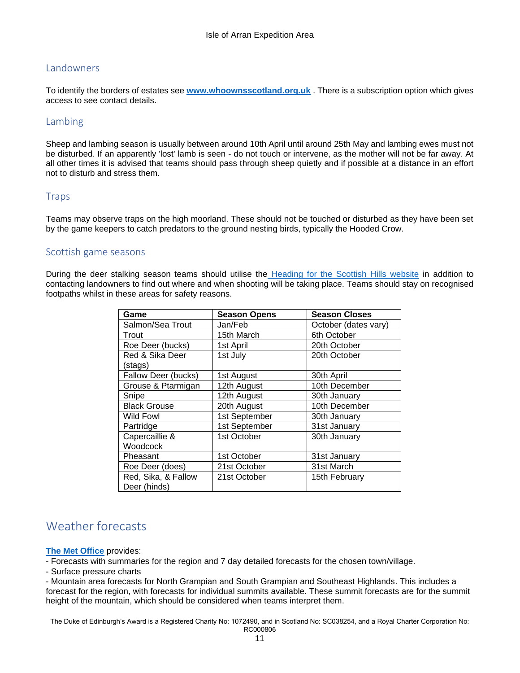## <span id="page-10-0"></span>Landowners

To identify the borders of estates see **[www.whoownsscotland.org.uk](http://www.whoownsscotland.org.uk/)** . There is a subscription option which gives access to see contact details.

## <span id="page-10-1"></span>Lambing

Sheep and lambing season is usually between around 10th April until around 25th May and lambing ewes must not be disturbed. If an apparently 'lost' lamb is seen - do not touch or intervene, as the mother will not be far away. At all other times it is advised that teams should pass through sheep quietly and if possible at a distance in an effort not to disturb and stress them.

#### <span id="page-10-2"></span>**Traps**

Teams may observe traps on the high moorland. These should not be touched or disturbed as they have been set by the game keepers to catch predators to the ground nesting birds, typically the Hooded Crow.

#### <span id="page-10-3"></span>Scottish game seasons

During the deer stalking season teams should utilise the [Heading for the Scottish Hills website](https://www.outdooraccess-scotland.scot/practical-guide-all/heading-scottish-hills) in addition to contacting landowners to find out where and when shooting will be taking place. Teams should stay on recognised footpaths whilst in these areas for safety reasons.

| Game                | <b>Season Opens</b> | <b>Season Closes</b> |
|---------------------|---------------------|----------------------|
| Salmon/Sea Trout    | Jan/Feb             | October (dates vary) |
| Trout               | 15th March          | 6th October          |
| Roe Deer (bucks)    | 1st April           | 20th October         |
| Red & Sika Deer     | 1st July            | 20th October         |
| (stags)             |                     |                      |
| Fallow Deer (bucks) | 1st August          | 30th April           |
| Grouse & Ptarmigan  | 12th August         | 10th December        |
| Snipe               | 12th August         | 30th January         |
| <b>Black Grouse</b> | 20th August         | 10th December        |
| <b>Wild Fowl</b>    | 1st September       | 30th January         |
| Partridge           | 1st September       | 31st January         |
| Capercaillie &      | 1st October         | 30th January         |
| Woodcock            |                     |                      |
| Pheasant            | 1st October         | 31st January         |
| Roe Deer (does)     | 21st October        | 31st March           |
| Red, Sika, & Fallow | 21st October        | 15th February        |
| Deer (hinds)        |                     |                      |

## <span id="page-10-4"></span>Weather forecasts

#### **[The Met Office](https://www.metoffice.gov.uk/)** provides:

- Forecasts with summaries for the region and 7 day detailed forecasts for the chosen town/village.

- Surface pressure charts

- Mountain area forecasts for North Grampian and South Grampian and Southeast Highlands. This includes a forecast for the region, with forecasts for individual summits available. These summit forecasts are for the summit height of the mountain, which should be considered when teams interpret them.